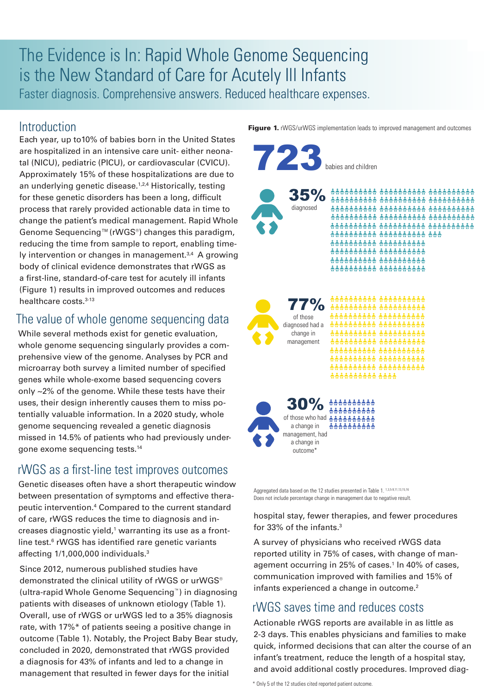# The Evidence is In: Rapid Whole Genome Sequencing is the New Standard of Care for Acutely Ill Infants Faster diagnosis. Comprehensive answers. Reduced healthcare expenses.

Introduction

Each year, up to10% of babies born in the United States are hospitalized in an intensive care unit- either neonatal (NICU), pediatric (PICU), or cardiovascular (CVICU). Approximately 15% of these hospitalizations are due to an underlying genetic disease.<sup>1,2,4</sup> Historically, testing for these genetic disorders has been a long, difficult process that rarely provided actionable data in time to change the patient's medical management. Rapid Whole Genome Sequencing™(rWGS®) changes this paradigm, reducing the time from sample to report, enabling timely intervention or changes in management.<sup>3,4</sup> A growing body of clinical evidence demonstrates that rWGS as a first-line, standard-of-care test for acutely ill infants (Figure 1) results in improved outcomes and reduces healthcare costs.<sup>3-13</sup>

### The value of whole genome sequencing data

While several methods exist for genetic evaluation, whole genome sequencing singularly provides a comprehensive view of the genome. Analyses by PCR and microarray both survey a limited number of specified genes while whole-exome based sequencing covers only ~2% of the genome. While these tests have their uses, their design inherently causes them to miss potentially valuable information. In a 2020 study, whole genome sequencing revealed a genetic diagnosis missed in 14.5% of patients who had previously undergone exome sequencing tests.14

## rWGS as a first-line test improves outcomes

Genetic diseases often have a short therapeutic window between presentation of symptoms and effective therapeutic intervention.4 Compared to the current standard of care, rWGS reduces the time to diagnosis and in $c$ reases diagnostic yield, $1$  warranting its use as a frontline test.<sup>6</sup> rWGS has identified rare genetic variants affecting 1/1,000,000 individuals.3

Since 2012, numerous published studies have demonstrated the clinical utility of rWGS or urWGS® (ultra-rapid Whole Genome Sequencing™) in diagnosing patients with diseases of unknown etiology (Table 1). Overall, use of rWGS or urWGS led to a 35% diagnosis rate, with 17%\* of patients seeing a positive change in outcome (Table 1). Notably, the Project Baby Bear study, concluded in 2020, demonstrated that rWGS provided a diagnosis for 43% of infants and led to a change in management that resulted in fewer days for the initial



**Figure 1.** rWGS/urWGS implementation leads to improved management and outcomes

Aggregated data based on the 12 studies presented in Table 1. 1,3,5-9,11,13,15,16 Does not include percentage change in management due to negative result.

hospital stay, fewer therapies, and fewer procedures for 33% of the infants.3

A survey of physicians who received rWGS data reported utility in 75% of cases, with change of management occurring in 25% of cases.<sup>1</sup> In 40% of cases, communication improved with families and 15% of infants experienced a change in outcome.<sup>2</sup>

### rWGS saves time and reduces costs

Actionable rWGS reports are available in as little as 2-3 days. This enables physicians and families to make quick, informed decisions that can alter the course of an infant's treatment, reduce the length of a hospital stay, and avoid additional costly procedures. Improved diag-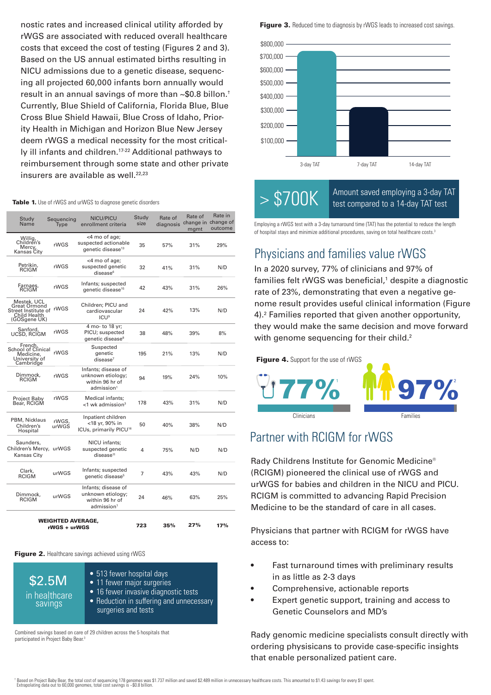nostic rates and increased clinical utility afforded by rWGS are associated with reduced overall healthcare costs that exceed the cost of testing (Figures 2 and 3). Based on the US annual estimated births resulting in NICU admissions due to a genetic disease, sequencing all projected 60,000 infants born annually would result in an annual savings of more than ~\$0.8 billon.† Currently, Blue Shield of California, Florida Blue, Blue Cross Blue Shield Hawaii, Blue Cross of Idaho, Priority Health in Michigan and Horizon Blue New Jersey deem rWGS a medical necessity for the most critically ill infants and children.17-22 Additional pathways to reimbursement through some state and other private insurers are available as well.<sup>22,23</sup>

#### Table 1. Use of rWGS and urWGS to diagnose genetic disorders

| Study<br>Name                                                                             | Sequencing<br>Type | <b>NICU/PICU</b><br>enrollment criteria                                               | Study<br>size | Rate of<br>diagnosis | Rate of<br>mgmt | Rate in<br>change in change of<br>outcome |
|-------------------------------------------------------------------------------------------|--------------------|---------------------------------------------------------------------------------------|---------------|----------------------|-----------------|-------------------------------------------|
| Willig,<br>Children's<br>Mercy<br>Kansas City                                             | rWGS               | <4 mo of age;<br>suspected actionable<br>genetic disease <sup>13</sup>                | 35            | 57%                  | 31%             | 29%                                       |
| Petrikin.<br><b>RCIGM</b>                                                                 | rWGS               | <4 mo of age;<br>suspected genetic<br>disease <sup>6</sup>                            | 32            | 41%                  | 31%             | N/D                                       |
| Farnaes,<br>RCIGM                                                                         | rWGS               | Infants; suspected<br>genetic disease <sup>15</sup>                                   | 42            | 43%                  | 31%             | 26%                                       |
| Mestek, UCL<br><b>Great Ormond</b><br>Street Institute of<br>Child Health<br>(GOSgene UK) | rWGS               | Children; PICU and<br>cardiovascular<br><b>ICU<sup>9</sup></b>                        | 24            | 42%                  | 13%             | N/D                                       |
| Sanford.<br>rWGS<br>UCSD, RCIGM                                                           |                    | 4 mo- to 18 yr;<br>PICU; suspected<br>genetic disease <sup>8</sup>                    | 38            | 48%                  | 39%             | 8%                                        |
| French.<br>School of Clinical<br>Medicine,<br>University of<br>Cambridge                  | rWGS               | Suspected<br>aenetic<br>disease <sup>7</sup>                                          | 195           | 21%                  | 13%             | N/D                                       |
| Dimmock.<br>RCIGM                                                                         | rWGS               | Infants; disease of<br>unknown etiology;<br>within 96 hr of<br>admission <sup>1</sup> | 94            | 19%                  | 24%             | 10%                                       |
| Project Baby<br>Bear, RCIGM                                                               | rWGS               | Medical infants;<br>$<$ 1 wk admission $3$                                            | 178           | 43%                  | 31%             | N/D                                       |
| PBM, Nicklaus<br>Children's<br>Hospital                                                   | rWGS.<br>urWGS     | Inpatient children<br><18 yr, 90% in<br>ICUs, primarily PICU <sup>16</sup>            | 50            | 40%                  | 38%             | N/D                                       |
| Saunders,<br>Children's Mercy, urWGS<br>Kansas City                                       |                    | NICU infants;<br>suspected genetic<br>disease <sup>11</sup>                           | 4             | 75%                  | N/D             | N/D                                       |
| Clark,<br>RCIGM                                                                           | urWGS              | Infants; suspected<br>genetic disease <sup>5</sup>                                    | 7             | 43%                  | 43%             | N/D                                       |
| Dimmock.<br><b>RCIGM</b>                                                                  | urWGS              | Infants; disease of<br>unknown etiology:<br>within 96 hr of<br>admission <sup>1</sup> | 24            | 46%                  | 63%             | 25%                                       |
| <b>WEIGHTED AVERAGE.</b><br>rWGS + urWGS                                                  |                    |                                                                                       | 723           | 35%                  | 27%             | 17%                                       |

Figure 2. Healthcare savings achieved using rWGS

| \$2.5M<br>in healthcare<br>savings | • 513 fewer hospital days<br>• 11 fewer major surgeries<br>• 16 fewer invasive diagnostic tests<br>• Reduction in suffering and unnecessary<br>surgeries and tests |
|------------------------------------|--------------------------------------------------------------------------------------------------------------------------------------------------------------------|
|------------------------------------|--------------------------------------------------------------------------------------------------------------------------------------------------------------------|

Combined savings based on care of 29 children across the 5 hospitals that participated in Project Baby Bear.<sup>3</sup>

Figure 3. Reduced time to diagnosis by rWGS leads to increased cost savings.



 $> $700K$  Amount saved employing a 3-day TAT test compared to a 14-day TAT test

Employing a rWGS test with a 3-day turnaround time (TAT) has the potential to reduce the length of hospital stays and minimize additional procedures, saving on total healthcare costs.<sup>3</sup>

### Physicians and families value rWGS

In a 2020 survey, 77% of clinicians and 97% of families felt rWGS was beneficial,<sup>1</sup> despite a diagnostic rate of 23%, demonstrating that even a negative genome result provides useful clinical information (Figure 4).2 Families reported that given another opportunity, they would make the same decision and move forward with genome sequencing for their child.<sup>2</sup>

Figure 4. Support for the use of rWGS



### Partner with RCIGM for rWGS

Rady Childrens Institute for Genomic Medicine® (RCIGM) pioneered the clinical use of rWGS and urWGS for babies and children in the NICU and PICU. RCIGM is committed to advancing Rapid Precision Medicine to be the standard of care in all cases.

Physicians that partner with RCIGM for rWGS have access to:

- Fast turnaround times with preliminary results in as little as 2-3 days
- Comprehensive, actionable reports
- Expert genetic support, training and access to Genetic Counselors and MD's

Rady genomic medicine specialists consult directly with ordering physisicans to provide case-specific insights that enable personalized patient care.